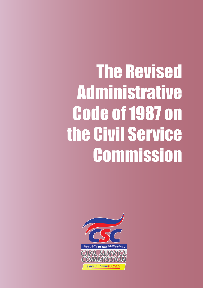The Revised Administrative Code of 1987 on the Civil Service **Commission** 

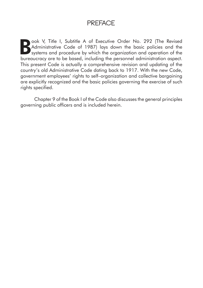# **PREFACE**

Book V, Title I, Subtitle A of Executive Order No. 292 (The Revised Administrative Code of 1987) lays down the basic policies and the systems and procedure by which the organization and operation of the hardward systems of Administrative Code of 1987) lays down the basic policies and the systems and procedure by which the organization and operation of the bureaucracy are to be based, including the personnel administration aspect. This present Code is actually a comprehensive revision and updating of the country's old Administrative Code dating back to 1917. With the new Code, government employees' rights to self–organization and collective bargaining are explicitly recognized and the basic policies governing the exercise of such rights specified.

Chapter 9 of the Book I of the Code also discusses the general principles governing public officers and is included herein.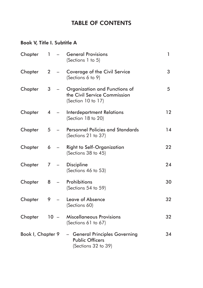## TABLE OF CONTENTS

## Book V, Title I. Subtitle A

| Chapter           | 1 | $\equiv$                          | <b>General Provisions</b><br>(Sections 1 to 5)                                      | 1  |
|-------------------|---|-----------------------------------|-------------------------------------------------------------------------------------|----|
| Chapter           | 2 |                                   | Coverage of the Civil Service<br>(Sections 6 to 9)                                  | 3  |
| Chapter           | 3 | $\qquad \qquad -$                 | Organization and Functions of<br>the Civil Service Commission<br>(Section 10 to 17) | 5  |
| Chapter           | 4 |                                   | <b>Interdepartment Relations</b><br>(Section 18 to 20)                              | 12 |
| Chapter           | 5 | $\overline{\phantom{0}}$          | <b>Personnel Policies and Standards</b><br>(Sections 21 to 37)                      | 14 |
| Chapter           | 6 | <b>Contract Contract Contract</b> | <b>Right to Self-Organization</b><br>(Sections 38 to 45)                            | 22 |
| Chapter           | 7 |                                   | <b>Discipline</b><br>(Sections 46 to 53)                                            | 24 |
| Chapter           | 8 | $\overline{\phantom{0}}$          | Prohibitions<br>(Sections 54 to 59)                                                 | 30 |
| Chapter           | 9 |                                   | Leave of Absence<br>(Sections 60)                                                   | 32 |
| Chapter           |   | $10 -$                            | <b>Miscellaneous Provisions</b><br>(Sections 61 to 67)                              | 32 |
| Book I, Chapter 9 |   |                                   | - General Principles Governing<br><b>Public Officers</b><br>(Sections 32 to 39)     | 34 |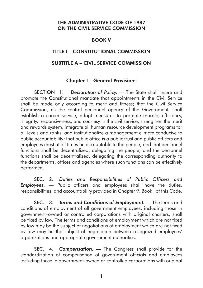#### THE ADMINISTRATIVE CODE OF 1987 ON THE CIVIL SERVICE COMMISSION

#### BOOK V

## TITLE I – CONSTITUTIONAL COMMISSION

#### SUBTITLE A – CIVIL SERVICE COMMISSION

#### Chapter I – General Provisions

SECTION 1. *Declaration of Policy.* — The State shall insure and promote the Constitutional mandate that appointments in the Civil Service shall be made only according to merit and fitness; that the Civil Service Commission, as the central personnel agency of the Government, shall establish a career service, adopt measures to promote morale, efficiency, integrity, responsiveness, and courtesy in the civil service, strengthen the merit and rewards system, integrate all human resource development programs for all levels and ranks, and institutionalize a management climate conducive to public accountability; that public office is a public trust and public officers and employees must at all times be accountable to the people; and that personnel functions shall be decentralized, delegating the people; and the personnel functions shall be decentralized, delegating the corresponding authority to the departments, offices and agencies where such functions can be effectively performed.

SEC. 2. *Duties and Responsibilities of Public Officers and Employees*. — Public officers and employees shall have the duties, responsibilities, and accountability provided in Chapter 9, Book I of this Code.

SEC. 3. *Terms and Conditions of Employment.* — The terms and conditions of employment of all government employees, including those in government–owned or controlled corporations with original charters, shall be fixed by law. The terms and conditions of employment which are not fixed by law may be the subject of negotiations of employment which are not fixed by law may be the subject of negotiation between recognized employees' organizations and appropriate government authorities.

SEC. 4. *Compensation.* — The Congress shall provide for the standardization of compensation of government officials and employees including those in government-owned or controlled corporations with original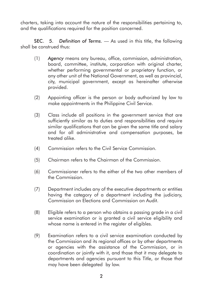charters, taking into account the nature of the responsibilities pertaining to, and the qualifications required for the position concerned.

SEC. 5. *Definition of Terms.* — As used in this title, the following shall be construed thus:

- (1) *Agency* means any bureau, office, commission, administration, board, committee, institute, corporation with original charter, whether performing governmental or proprietary function, or any other unit of the National Government, as well as provincial, city, municipal government, except as hereinafter otherwise provided.
- (2) Appointing officer is the person or body authorized by law to make appointments in the Philippine Civil Service.
- (3) Class include all positions in the government service that are sufficiently similar as to duties and responsibilities and require similar qualifications that can be given the same title and salary and for all administrative and compensation purposes, be treated alike.
- (4) Commission refers to the Civil Service Commission.
- (5) Chairman refers to the Chairman of the Commission.
- (6) Commissioner refers to the either of the two other members of the Commission.
- (7) Department includes any of the executive departments or entities having the category of a department including the judiciary, Commission on Elections and Commission on Audit.
- (8) Eligible refers to a person who obtains a passing grade in a civil service examination or is granted a civil service eligibility and whose name is entered in the register of eligibles.
- (9) Examination refers to a civil service examination conducted by the Commission and its regional offices or by other departments or agencies with the assistance of the Commission, or in coordination or jointly with it, and those that it may delegate to departments and agencies pursuant to this Title, or those that may have been delegated by law.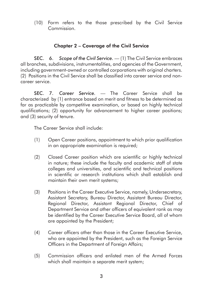(10) Form refers to the those prescribed by the Civil Service Commission.

## Chapter 2 – Coverage of the Civil Service

SEC. 6. *Scope of the Civil Service.* — (1) The Civil Service embraces all branches, subdivisions, instrumentalities, and agencies of the Government, including government-owned or controlled corporations with original charters. (2) Positions in the Civil Service shall be classified into career service and noncareer service.

SEC. 7. *Career Service.* — The Career Service shall be characterized by (1) entrance based on merit and fitness to be determined as far as practicable by competitive examination, or based on highly technical qualifications; (2) opportunity for advancement to higher career positions; and (3) security of tenure.

The Career Service shall include:

- (1) Open Career positions, appointment to which prior qualification in an appropriate examination is required;
- (2) Closed Career position which are scientific or highly technical in nature; these include the faculty and academic staff of state colleges and universities, and scientific and technical positions in scientific or research institutions which shall establish and maintain their own merit systems;
- (3) Positions in the Career Executive Service, namely, Undersecretary, Assistant Secretary, Bureau Director, Assistant Bureau Director, Regional Director, Assistant Regional Director, Chief of Department Service and other officers of equivalent rank as may be identified by the Career Executive Service Board, all of whom are appointed by the President;
- (4) Career officers other than those in the Career Executive Service, who are appointed by the President, such as the Foreign Service Officers in the Department of Foreign Affairs;
- (5) Commission officers and enlisted men of the Armed Forces which shall maintain a separate merit system;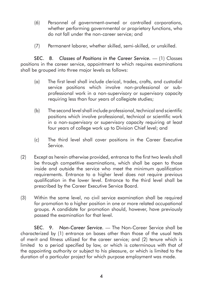- (6) Personnel of government-owned or controlled corporations, whether performing governmental or proprietary functions, who do not fall under the non-career service; and
- (7) Permanent laborer, whether skilled, semi-skilled, or unskilled.

SEC. 8. Classes of Positions in the Career Service. - (1) Classes positions in the career service, appointment to which requires examinations shall be grouped into three major levels as follows:

- (a) The first level shall include clerical, trades, crafts, and custodial service positions which involve non-professional or subprofessional work in a non-supervisory or supervisory capacity requiring less than four years of collegiate studies;
- (b) The second level shall include professional, technical and scientific positions which involve professional, technical or scientific work in a non-supervisory or supervisory capacity requiring at least four years of college work up to Division Chief level; and
- (c) The third level shall cover positions in the Career Executive Service.
- (2) Except as herein otherwise provided, entrance to the first two levels shall be through competitive examinations, which shall be open to those inside and outside the service who meet the minimum qualification requirements. Entrance to a higher level does not require previous qualification in the lower level. Entrance to the third level shall be prescribed by the Career Executive Service Board.
- (3) Within the same level, no civil service examination shall be required for promotion to a higher position in one or more related occupational groups. A candidate for promotion should, however, have previously passed the examination for that level.

SEC. 9. *Non-Career Service.* — The Non-Career Service shall be characterized by (1) entrance on bases other than those of the usual tests of merit and fitness utilized for the career service; and (2) tenure which is limited to a period specified by law, or which is coterminous with that of the appointing authority or subject to his pleasure, or which is limited to the duration of a particular project for which purpose employment was made.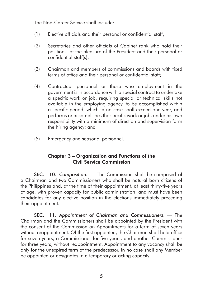The Non-Career Service shall include:

- (1) Elective officials and their personal or confidential staff;
- (2) Secretaries and other officials of Cabinet rank who hold their positions at the pleasure of the President and their personal or confidential staff(s);
- (3) Chairman and members of commissions and boards with fixed terms of office and their personal or confidential staff;
- (4) Contractual personnel or those who employment in the government is in accordance with a special contract to undertake a specific work or job, requiring special or technical skills not available in the employing agency, to be accomplished within a specific period, which in no case shall exceed one year, and performs or accomplishes the specific work or job, under his own responsibility with a minimum of direction and supervision form the hiring agency; and
- (5) Emergency and seasonal personnel.

## Chapter 3 – Organization and Functions of the Civil Service Commission

SEC. 10. *Composition.* — The Commission shall be composed of a Chairman and two Commissioners who shall be natural born citizens of the Philippines and, at the time of their appointment, at least thirty-five years of age, with proven capacity for public administration, and must have been candidates for any elective position in the elections immediately preceding their appointment.

SEC. 11. *Appointment of Chairman and Commissioners.* — The Chairman and the Commissioners shall be appointed by the President with the consent of the Commission on Appointments for a term of seven years without reappointment. Of the first appointed, the Chairman shall hold office for seven years, a Commissioner for five years, and another Commissioner for three years, without reappointment. Appointment to any vacancy shall be only for the unexpired term of the predecessor. In no case shall any Member be appointed or designates in a temporary or acting capacity.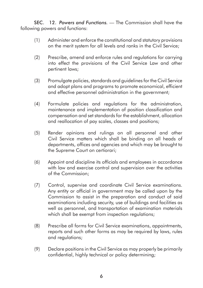SEC. 12. *Powers and Functions.* — The Commission shall have the following powers and functions:

- (1) Administer and enforce the constitutional and statutory provisions on the merit system for all levels and ranks in the Civil Service;
- (2) Prescribe, amend and enforce rules and regulations for carrying into effect the provisions of the Civil Service Law and other pertinent laws;
- (3) Promulgate policies, standards and guidelines for the Civil Service and adopt plans and programs to promote economical, efficient and effective personnel administration in the government;
- (4) Formulate policies and regulations for the administration, maintenance and implementation of position classification and compensation and set standards for the establishment, allocation and reallocation of pay scales, classes and positions;
- (5) Render opinions and rulings on all personnel and other Civil Service matters which shall be binding on all heads of departments, offices and agencies and which may be brought to the Supreme Court on certiorari;
- (6) Appoint and discipline its officials and employees in accordance with law and exercise control and supervision over the activities of the Commission;
- (7) Control, supervise and coordinate Civil Service examinations. Any entity or official in government may be called upon by the Commission to assist in the preparation and conduct of said examinations including security, use of buildings and facilities as well as personnel, and transportation of examination materials which shall be exempt from inspection regulations;
- (8) Prescribe all forms for Civil Service examinations, appointments, reports and such other forms as may be required by laws, rules and regulations;
- (9) Declare positions in the Civil Service as may properly be primarily confidential, highly technical or policy determining;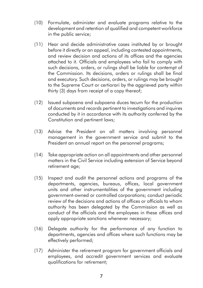- (10) Formulate, administer and evaluate programs relative to the development and retention of qualified and competent workforce in the public service;
- (11) Hear and decide administrative cases instituted by or brought before it directly or an appeal, including contested appointments, and review decision and actions of its offices and the agencies attached to it. Officials and employees who fail to comply with such decisions, orders, or rulings shall be liable for contempt of the Commission. Its decisions, orders or rulings shall be final and executory. Such decisions, orders, or rulings may be brought to the Supreme Court or certiorari by the aggrieved party within thirty (3) days from receipt of a copy thereof;
- (12) Issued subpoena and subpoena duces tecum for the production of documents and records pertinent to investigations and inquires conducted by it in accordance with its authority conferred by the Constitution and pertinent laws;
- (13) Advise the President on all matters involving personnel management in the government service and submit to the President an annual report on the personnel programs;
- (14) Take appropriate action on all appointments and other personnel matters in the Civil Service including extension of Service beyond retirement age;
- (15) Inspect and audit the personnel actions and programs of the departments, agencies, bureaus, offices, local government units and other instrumentalities of the government including government-owned or controlled corporations; conduct periodic review of the decisions and actions of offices or officials to whom authority has been delegated by the Commission as well as conduct of the officials and the employees in these offices and apply appropriate sanctions whenever necessary;
- (16) Delegate authority for the performance of any function to departments, agencies and offices where such functions may be effectively performed;
- (17) Administer the retirement program for government officials and employees, and accredit government services and evaluate qualifications for retirement;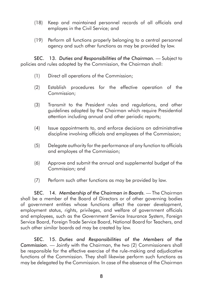- (18) Keep and maintained personnel records of all officials and employes in the Civil Service; and
- (19) Perform all functions properly belonging to a central personnel agency and such other functions as may be provided by law.

SEC. 13. Duties and Responsibilities of the Chairman. - Subject to policies and rules adopted by the Commission, the Chairman shall:

- (1) Direct all operations of the Commission;
- (2) Establish procedures for the effective operation of the Commission;
- (3) Transmit to the President rules and regulations, and other guidelines adopted by the Chairman which require Presidential attention including annual and other periodic reports;
- (4) Issue appointments to, and enforce decisions on administrative discipline involving officials and employees of the Commission;
- (5) Delegate authority for the performance of any function to officials and employes of the Commission;
- (6) Approve and submit the annual and supplemental budget of the Commission; and
- (7) Perform such other functions as may be provided by law.

SEC. 14. *Membership of the Chairman in Boards.* — The Chairman shall be a member of the Board of Directors or of other governing bodies of government entities whose functions affect the career development, employment status, rights, privileges, and welfare of government officials and employees, such as the Government Service Insurance System, Foreign Service Board, Foreign Trade Service Board, National Board for Teachers, and such other similar boards ad may be created by law.

SEC. 15. *Duties and Responsibilities of the Members of the Commission*. — Jointly with the Chairman, the two (2) Commissioners shall be responsible for the effective exercise of the rule-making and adjudicative functions of the Commission. They shall likewise perform such functions as may be delegated by the Commission. In case of the absence of the Chairman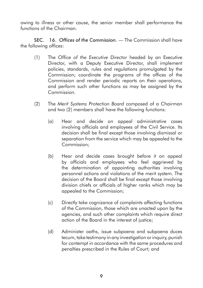owing to illness or other cause, the senior member shall performance the functions of the Chairman.

SEC. 16. *Offices of the Commission.* — The Commission shall have the following offices:

- (1) The *Office of the Executive Director* headed by an Executive Director, with a Deputy Executive Director, shall implement policies, standards, rules and regulations promulgated by the Commission; coordinate the programs of the offices of the Commission and render periodic reports on their operations, and perform such other functions as may be assigned by the Commission.
- (2) The *Merit Systems Protection Board* composed of a Chairman and two (2) members shall have the following functions:
	- (a) Hear and decide on appeal administrative cases involving officials and employees of the Civil Service. Its decision shall be final except those involving dismissal or separation from the service which may be appealed to the Commission;
	- (b) Hear and decide cases brought before it on appeal by officials and employees who feel aggrieved by the determination of appointing authorities involving personnel actions and violations of the merit system. The decision of the Board shall be final except those involving division chiefs or officials of higher ranks which may be appealed to the Commission;
	- (c) Directly take cognizance of complaints affecting functions of the Commission, those which are unacted upon by the agencies, and such other complaints which require direct action of the Board in the interest of justice;
	- (d) Administer oaths, issue subpoena and subpoena duces tecum, take testimony in any investigation or inquiry, punish for contempt in accordance with the same procedures and penalties prescribed in the Rules of Court; and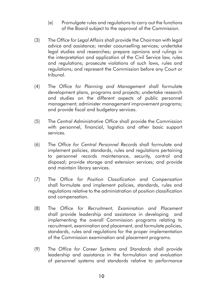- (e) Promulgate rules and regulations to carry out the functions of the Board subject to the approval of the Commission.
- (3) The *Office for Legal Affairs* shall provide the Chairman with legal advice and assistance; render coounselling services; undertake legal studies and researches; prepare opinions and rulings in the interpretation and application of the Civil Service law, rules and regulations; prosecute violations of such laws, rules and regulations; and represent the Commission before any Court or tribunal.
- (4) The *Office for Planning and Management* shall formulate development plans, programs and projects; undertake research and studies on the different aspects of public personnel management; administer management improvement programs; and provide fiscal and budgetary services.
- (5) The *Central Administrative Office* shall provide the Commission with personnel, financial, logistics and other basic support services.
- (6) The *Office for Central Personnel Records* shall formulate and implement policies, standards, rules and regulations pertaining to personnel records maintenance, security, control and disposal; provide storage and extension services; and provide and maintain library services.
- (7) The *Office for Position Classification and Compensation* shall formulate and implement policies, standards, rules and regulations relative to the administration of position classification and compensation.
- (8) The *Office for Recruitment, Examination and Placement* shall provide leadership and assistance in developing and implementing the overall Commission programs relating to recruitment, examination and placement, and formulate policies, standards, rules and regulations for the proper implementation of the Commission examination and placement programs.
- (9) The *Office for Career Systems and Standards* shall provide leadership and assistance in the formulation and evaluation of personnel systems and standards relative to performance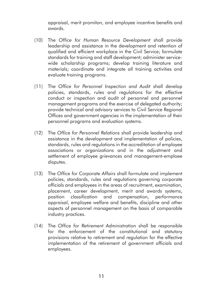appraisal, merit promiton, and employee incentive benefits and awards.

- (10) The *Office for Human Resource Development* shall provide leadership and assistance in the development and retention of qualified and efficient workplace in the Civil Service; formulate standards for training and staff development; administer servicewide scholarship programs; develop training literature and materials; coordinate and integrate all training activities and evaluate training programs.
- (11) The *Office for Personnel Inspection and Audit* shall develop policies, standards, rules and regulations for the effective conduct or inspection and audit of personnel and personnel management programs and the exercise of delegated authority; provide technical and advisory services to Civil Service Regional Offices and government agencies in the implementation of their personnel programs and evaluation systems.
- (12) The *Office for Personnel Relations* shall provide leadership and assistance in the development and implementation of policies, standards, rules and regulations in the accreditation of employee associations or organizations and in the adjustment and settlement of employee grievances and management-emploee disputes.
- (13) The *Office for Corporate Affairs* shall formulate and implement policies, standards, rules and regulations governing corporate officials and employees in the areas of recruitment, examination, placement, career development, merit and awards systems, position classification and compensation, performance appraisal, employee welfare and benefits, discipline and other aspects of personnel management on the basis of comparable industry practices.
- (14) The *Office for Retirement Administration* shall be responsible for the enforcement of the constitutional and statutory provisions relative to retirement and regulation for the effective implementation of the retirement of government officials and employees.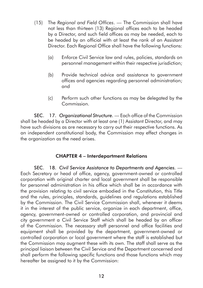- (15) The *Regional and Field Offices*. The Commission shall have not less than thirteen (13) Regional offices each to be headed by a Director, and such field offices as may be needed, each to be headed by an official with at least the rank of an Assistant Director. Each Regional Office shall have the following functions:
	- (a) Enforce Civil Service law and rules, policies, standards on personnel management within their respective jurisdiction;
	- (b) Provide technical advice and assistance to government offices and agencies regarding personnel administration; and
	- (c) Perform such other functions as may be delegated by the Commission.

SEC. 17. *Organizational Structure.* — Each office of the Commission shall be headed by a Director with at least one (1) Assistant Director, and may have such divisions as are necessary to carry out their respective functions. As an independent constitutional body, the Commission may effect changes in the organization as the need arises.

## CHAPTER 4 – Interdepartment Relations

SEC. 18. *Civil Service Assistance to Departments and Agencies.* — Each Secretary or head of office, agency, government-owned or controlled corporation with original charter and local government shall be responsible for personnel administration in his office which shall be in accordance with the provision relating to civil service embodied in the Constitution, this Title and the rules, principles, standards, guidelines and regulations established by the Commission. The Civil Service Commission shall, whenever it deems it in the interest of the public service, organize in each department, office, agency, government-owned or controlled corporation, and provincial and city government a Civil Service Staff which shall be headed by an officer of the Commission. The necessary staff personnel and office facilities and equipment shall be provided by the department, government-owned or controlled corporation or local government where the staff is established but the Commission may augment these with its own. The staff shall serve as the principal liaison between the Civil Service and the Department concerned and shall perform the following specific functions and those functions which may hereafter be assigned to it by the Commission: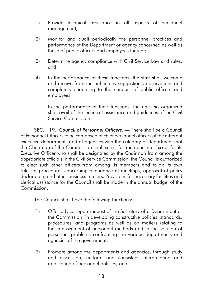- (1) Provide technical assistance in all aspects of personnel management;
- (2) Monitor and audit periodically the personnel practices and performance of the Department or agency concerned as well as those of public officers and employees thereat;
- (3) Determine agency compliance with Civil Service Law and rules; and
- (4) In the performance of these functions, the staff shall welcome and receive from the public any suggestions, observations and complaints pertaining to the conduct of public officers and employees.

In the performance of their functions, the units so organized shall avail of the technical assistance and guidelines of the Civil Service Commission.

SEC. 19. *Council of Personnel Officers.* — There shall be a Council of Personnel Officers to be composed of chief personnel officers of the different executive departments and of agencies with the category of department that the Chairman of the Commission shall select for membership. Except for its Executive Officer who shall be designated by the Chairman from among the appropriate officials in the Civil Service Commission, the Council is authorized to elect such other officers from among its members and to fix its own rules or procedures concerning attendance at meetings, approval of policy declaration, and other business matters. Provisions for necessary facilities and clerical assistance for the Council shall be made in the annual budget of the Commission.

The Council shall have the following functions:

- (1) Offer advice, upon request of the Secretary of a Department or the Commission, in developing constructive policies, standards, procedures, and programs as well as on matters relating to the improvement of personnel methods and to the solution of personnel problems confronting the various departments and agencies of the government;
- (2) Promote among the departments and agencies, through study and discussion, uniform and consistent interpretation and application of personnel policies; and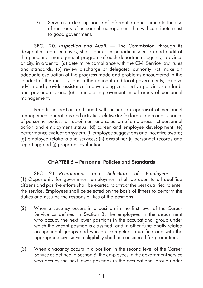(3) Serve as a clearing house of information and stimulate the use of methods of personnel management that will contribute most to good government.

SEC. 20. *Inspection and Audit.* — The Commission, through its designated representatives, shall conduct a periodic inspection and audit of the personnel management program of each department, agency, province or city, in order to: (a) determine compliance with the Civil Service law, rules and standards; (b) review discharge of delegated authority; (c) make an adequate evaluation of the progress made and problems encountered in the conduct of the merit system in the national and local governments; (d) give advice and provide assistance in developing constructive policies, standards and procedures, and (e) stimulate improvement in all areas of personnel management.

Periodic inspection and audit will include an appraisal of personnel management operations and activities relative to: (a) formulation and issuance of personnel policy; (b) recruitment and selection of employees; (c) personnel action and employment status; (d) career and employee development; (e) performance evaluation system; (f) employee suggestions and incentive award; (g) employee relations and services; (h) discipline; (i) personnel records and reporting; and (j) programs evaluation.

## CHAPTER 5 – Personnel Policies and Standards

SEC. 21. Recruitment and Selection of Employees. (1) Opportunity for government employment shall be open to all qualified citizens and positive efforts shall be exerted to attract the best qualified to enter the service. Employees shall be selected on the basis of fitness to perform the duties and assume the responsibilities of the positions.

- (2) When a vacancy occurs in a position in the first level of the Career Service as defined in Section 8, the employees in the department who occupy the next lower positions in the occupational group under which the vacant position is classified, and in other functionally related occupational groups and who are competent, qualified and with the appropriate civil service eligibility shall be considered for promotion.
- (3) When a vacancy occurs in a position in the second level of the Career Service as defined in Section 8, the employees in the government service who occupy the next lower positions in the occupational group under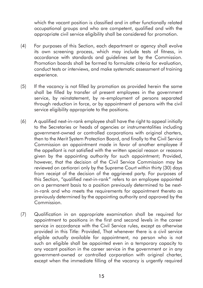which the vacant position is classified and in other functionally related occupational groups and who are competent, qualified and with the appropriate civil service eligibility shall be considered for promotion.

- (4) For purposes of this Section, each department or agency shall evolve its own screening process, which may include tests of fitness, in accordance with standards and guidelines set by the Commission. Promotion boards shall be formed to formulate criteria for evaluation, conduct tests or interviews, and make systematic assessment of training experience.
- (5) If the vacancy is not filled by promotion as provided herein the same shall be filled by transfer of present employees in the government service, by reinstatement, by re-employment of persons separated through reduction in force, or by appointment of persons with the civil service eligibility appropriate to the positions.
- (6) A qualified next-in-rank employee shall have the right to appeal initially to the Secretaries or heads of agencies or instrumentalities including government-owned or controlled corporations with original charters, then to the Merit System Protection Board, and finally to the Civil Service Commission an appointment made in favor of another employee if the appellant is not satisfied with the written special reason or reasons given by the appointing authority for such appointment; Provided, however, that the decision of the Civil Service Commission may be reviewed on certiorari only by the Supreme Court within thirty (30) days from receipt of the decision of the aggrieved party. For purposes of this Section, "qualified next-in-rank" refers to an employee appointed on a permanent basis to a position previously determined to be nextin-rank and who meets the requirements for appointment thereto as previously determined by the appointing authority and approved by the Commission.
- (7) Qualification in an appropriate examination shall be required for appointment to positions in the first and second levels in the career service in accordance with the Civil Service rules, except as otherwise provided in this Title: Provided, That whenever there is a civil service eligible actually available for appointment, no person who is not such an eligible shall be appointed even in a temporary capacity to any vacant position in the career service in the government or in any government-owned or controlled corporation with original charter, except when the immediate filling of the vacancy is urgently required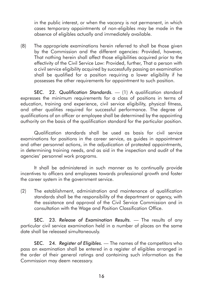in the public interest, or when the vacancy is not permanent, in which cases temporary appointments of non-eligibles may be made in the absence of eligibles actually and immediately available.

(8) The appropriate examinations herein referred to shall be those given by the Commission and the different agencies: Provided, however, That nothing herein shall affect those eligibilities acquired prior to the effectivity of the Civil Service Law: Provided, further, That a person with a civil service eligibility acquired by successfully passing an examination shall be qualified for a position requiring a lower eligibility if he possesses the other requirements for appointment to such position.

SEC. 22. *Qualification Standards.* — (1) A qualification standard expresses the minimum requirements for a class of positions in terms of education, training and experience, civil service eligibility, physical fitness, and other qualities required for successful performance. The degree of qualifications of an officer or employee shall be determined by the appointing authority on the basis of the qualification standard for the particular position.

Qualification standards shall be used as basis for civil service examinations for positions in the career service, as guides in appointment and other personnel actions, in the adjudication of protested appointments, in determining training needs, and as aid in the inspection and audit of the agencies' personnel work programs.

It shall be administered in such manner as to continually provide incentives to officers and employees towards professional growth and foster the career system in the government service.

(2) The establishment, administration and maintenance of qualification standards shall be the responsibility of the department or agency, with the assistance and approval of the Civil Service Commission and in consultation with the Wage and Position Classification Office.

SEC. 23. *Release of Examination Results.* — The results of any particular civil service examination held in a number of places on the same date shall be released simultaneously.

SEC. 24. *Register of Eligibles.* — The names of the competitors who pass an examination shall be entered in a register of eligibles arranged in the order of their general ratings and containing such information as the Commission may deem necessary.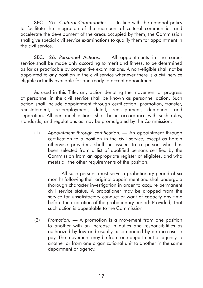SEC. 25. *Cultural Communities.* — In line with the national policy to facilitate the integration of the members of cultural communities and accelerate the development of the areas occupied by them, the Commission shall give special civil service examinations to qualify them for appointment in the civil service.

SEC. 26. *Personnel Actions.* — All appointments in the career service shall be made only according to merit and fitness, to be determined as far as practicable by competitive examinations. A non-eligible shall not be appointed to any position in the civil service whenever there is a civil service eligible actually available for and ready to accept appointment.

As used in this Title, any action denoting the movement or progress of personnel in the civil service shall be known as personnel action. Such action shall include appointment through certification, promotion, transfer, reinstatement, re-employment, detail, reassignment, demotion, and separation. All personnel actions shall be in accordance with such rules, standards, and regulations as may be promulgated by the Commission.

(1) *Appointment through certification.* — An appointment through certification to a position in the civil service, except as herein otherwise provided, shall be issued to a person who has been selected from a list of qualified persons certified by the Commission from an appropriate register of eligibles, and who meets all the other requirements of the position.

All such persons must serve a probationary period of six months following their original appointment and shall undergo a thorough character investigation in order to acquire permanent civil service status. A probationer may be dropped from the service for unsatisfactory conduct or want of capacity any time before the expiration of the probationary period: Provided, That such action is appealable to the Commission.

(2) *Promotion.* — A promotion is a movement from one position to another with an increase in duties and responsibilities as authorized by law and usually accompanied by an increase in pay. The movement may be from one department or agency to another or from one organizational unit to another in the same department or agency.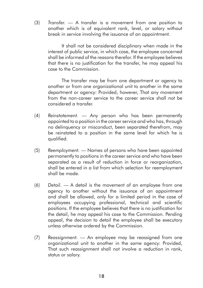(3) *Transfer.* — A transfer is a movement from one position to another which is of equivalent rank, level, or salary without break in service involving the issuance of an appointment.

It shall not be considered disciplinary when made in the interest of public service, in which case, the employee concerned shall be informed of the reasons therefor. If the employee believes that there is no justification for the transfer, he may appeal his case to the Commission.

The transfer may be from one department or agency to another or from one organizational unit to another in the same department or agency: Provided, however, That any movement from the non-career service to the career service shall not be considered a transfer.

- (4) *Reinstatement.* Any person who has been permanently appointed to a position in the career service and who has, through no delinquency or misconduct, been separated therefrom, may be reinstated to a position in the same level for which he is qualified.
- (5) *Reemployment.* Names of persons who have been appointed permanently to positions in the career service and who have been separated as a result of reduction in force or reorganization, shall be entered in a list from which selection for reemployment shall be made.
- (6) *Detail.* A detail is the movement of an employee from one agency to another without the issuance of an appointment and shall be allowed, only for a limited period in the case of employees occupying professional, technical and scientific positions. If the employee believes that there is no justification for the detail, he may appeal his case to the Commission. Pending appeal, the decision to detail the employee shall be executory unless otherwise ordered by the Commission.
- (7) *Reassignment.*  An employee may be reassigned from one organizational unit to another in the same agency: Provided, That such reassignment shall not involve a reduction in rank, status or salary.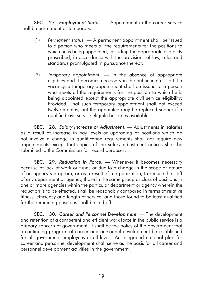SEC. 27. *Employment Status.* — Appointment in the career service shall be permanent or temporary.

- (1) *Permanent status.* A permanent appointment shall be issued to a person who meets all the requirements for the positions to which he is being appointed, including the appropriate eligibility prescribed, in accordance with the provisions of law, rules and standards promulgated in pursuance thereof.
- (2) *Temporary appointment.* In the absence of appropriate eligibles and it becomes necessary in the public interest to fill a vacancy, a temporary appointment shall be issued to a person who meets all the requirements for the position to which he is being appointed except the appropriate civil service eligibility: Provided, That such temporary appointment shall not exceed twelve months, but the appointee may be replaced sooner if a qualified civil service eligible becomes available.

SEC. 28. *Salary Increase or Adjustment.* — Adjustments in salaries as a result of increase in pay levels or upgrading of positions which do not involve a change in qualification requirements shall not require new appointments except that copies of the salary adjustment notices shall be submitted to the Commission for record purposes.

SEC. 29. *Reduction in Force.* — Whenever it becomes necessary because of lack of work or funds or due to a change in the scope or nature of an agency's program, or as a result of reorganization, to reduce the staff of any department or agency, those in the same group or class of positions in one or more agencies within the particular department or agency wherein the reduction is to be effected, shall be reasonably compared in terms of relative fitness, efficiency and length of service, and those found to be least qualified for the remaining positions shall be laid off.

SEC. 30. *Career and Personnel Development.* — The development and retention of a competent and efficient work force in the public service is a primary concern of government. It shall be the policy of the government that a continuing program of career and personnel development be established for all government employees at all levels. An integrated national plan for career and personnel development shall serve as the basis for all career and personnel development activities in the government.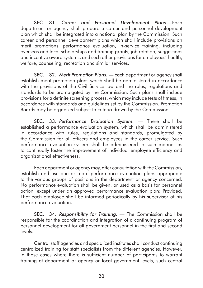SEC. 31. *Career and Personnel Development Plans.*—Each department or agency shall prepare a career and personnel development plan which shall be integrated into a national plan by the Commission. Such career and personnel development plans which shall include provisions on merit promotions, performance evaluation, in-service training, including overseas and local scholarships and training grants, job rotation, suggestions and incentive award systems, and such other provisions for employees' health, welfare, counseling, recreation and similar services.

SEC. 32. *Merit Promotion Plans.* — Each department or agency shall establish merit promotion plans which shall be administered in accordance with the provisions of the Civil Service law and the rules, regulations and standards to be promulgated by the Commission. Such plans shall include provisions for a definite screening process, which may include tests of fitness, in accordance with standards and guidelines set by the Commission. Promotion Boards may be organized subject to criteria drawn by the Commission.

SEC. 33. *Performance Evaluation System.* — There shall be established a performance evaluation system, which shall be administered in accordance with rules, regulations and standards, promulgated by the Commission for all officers and employees in the career service. Such performance evaluation system shall be administered in such manner as to continually foster the improvement of individual employee efficiency and organizational effectiveness.

Each department or agency may, after consultation with the Commission, establish and use one or more performance evaluation plans appropriate to the various groups of positions in the department or agency concerned. No performance evaluation shall be given, or used as a basis for personnel action, except under an approved performance evaluation plan: Provided, That each employee shall be informed periodically by his supervisor of his performance evaluation.

SEC. 34. *Responsibility for Training.* — The Commission shall be responsible for the coordination and integration of a continuing program of personnel development for all government personnel in the first and second levels.

Central staff agencies and specialized institutes shall conduct continuing centralized training for staff specialists from the different agencies. However, in those cases where there is sufficient number of participants to warrant training at department or agency or local government levels, such central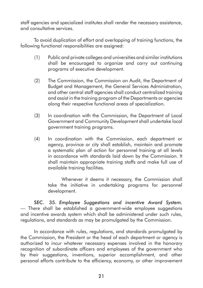staff agencies and specialized institutes shall render the necessary assistance, and consultative services.

To avoid duplication of effort and overlapping of training functions, the following functional responsibilities are assigned:

- (1) Public and private colleges and universities and similar institutions shall be encouraged to organize and carry out continuing programs of executive development.
- (2) The Commission, the Commission on Audit, the Department of Budget and Management, the General Services Administration, and other central staff agencies shall conduct centralized training and assist in the training program of the Departments or agencies along their respective functional areas of specialization.
- (3) In coordination with the Commission, the Department of Local Government and Community Development shall undertake local government training programs.
- (4) In coordination with the Commission, each department or agency, province or city shall establish, maintain and promote a systematic plan of action for personnel training at all levels in accordance with standards laid down by the Commission. It shall maintain appropriate training staffs and make full use of available training facilities.

Whenever it deems it necessary, the Commission shall take the initiative in undertaking programs for personnel development.

SEC. 35. *Employee Suggestions and incentive Award System.* — There shall be established a government-wide employee suggestions and incentive awards system which shall be administered under such rules, regulations, and standards as may be promulgated by the Commission.

In accordance with rules, regulations, and standards promulgated by the Commission, the President or the head of each department or agency is authorized to incur whatever necessary expenses involved in the honorary recognition of subordinate officers and employees of the government who by their suggestions, inventions, superior accomplishment, and other personal efforts contribute to the efficiency, economy, or other improvement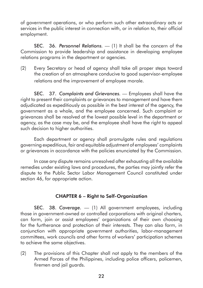of government operations, or who perform such other extraordinary acts or services in the public interest in connection with, or in relation to, their official employment.

SEC. 36. *Personnel Relations.* — (1) It shall be the concern of the Commission to provide leadership and assistance in developing employee relations programs in the department or agencies.

(2) Every Secretary or head of agency shall take all proper steps toward the creation of an atmosphere conducive to good supervisor-employee relations and the improvement of employee morale.

SEC. 37. *Complaints and Grievances.* — Employees shall have the right to present their complaints or grievances to management and have them adjudicated as expeditiously as possible in the best interest of the agency, the government as a whole, and the employee concerned. Such complaint or grievances shall be resolved at the lowest possible level in the department or agency, as the case may be, and the employee shall have the right to appeal such decision to higher authorities.

Each department or agency shall promulgate rules and regulations governing expeditious, fair and equitable adjustment of employees' complaints or grievances in accordance with the policies enunciated by the Commission.

In case any dispute remains unresolved after exhausting all the available remedies under existing laws and procedures, the parties may jointly refer the dispute to the Public Sector Labor Management Council constituted under section 46, for appropriate action.

## CHAPTER 6 – Right to Self-Organization

SEC. 38. *Coverage.* — (1) All government employees, including those in government-owned or controlled corporations with original charters, can form, join or assist employees' organizations of their own choosing for the furtherance and protection of their interests. They can also form, in conjunction with appropriate government authorities, labor-management committees, work councils and other forms of workers' participation schemes to achieve the same objectives.

(2) The provisions of this Chapter shall not apply to the members of the Armed Forces of the Philippines, including police officers, policemen, firemen and jail guards.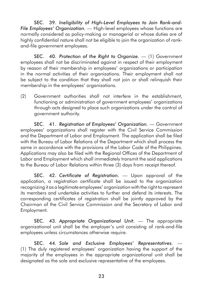SEC. 39. *Ineligibility of High-Level Employees to Join Rank-and-File Employees' Organization.* — High-level employees whose functions are normally considered as policy-making or managerial or whose duties are of highly confidential nature shall not be eligible to join the organization of rankand-file government employees.

SEC. 40. *Protection of the Right to Organize.* — (1) Government employees shall not be discriminated against in respect of their employment by reason of their membership in employees' organizations or participation in the normal activities of their organizations. Their employment shall not be subject to the condition that they shall not join or shall relinquish their membership in the employees' organizations.

(2) Government authorities shall not interfere in the establishment, functioning or administration of government employees' organizations through acts designed to place such organizations under the control of government authority.

SEC. 41. *Registration of Employees' Organization.* — Government employees' organizations shall register with the Civil Service Commission and the Department of Labor and Employment. The application shall be filed with the Bureau of Labor Relations of the Department which shall process the same in accordance with the provisions of the Labor Code of the Philippines. Applications may also be filed with the Regional Offices of the Department of Labor and Employment which shall immediately transmit the said applications to the Bureau of Labor Relations within three (3) days from receipt thereof.

SEC. 42. *Certificate of Registration*. — Upon approval of the application, a registration certificate shall be issued to the organization recognizing it as a legitimate employees' organization with the right to represent its members and undertake activities to further and defend its interests. The corresponding certificates of registration shall be jointly approved by the Chairman of the Civil Service Commission and the Secretary of Labor and Employment.

SEC. 43. *Appropriate Organizational Unit.* — The appropriate organizational unit shall be the employer's unit consisting of rank-and-file employees unless circumstances otherwise require.

SEC. 44. *Sole and Exclusive Employees' Representatives.* — (1) The duly registered employees' organization having the support of the majority of the employees in the appropriate organizational unit shall be designated as the sole and exclusive representative of the employees.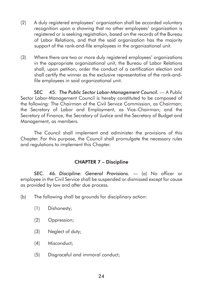- (2) A duly registered employees' organization shall be accorded voluntary recognition upon a showing that no other employees' organization is registered or is seeking registration, based on the records of the Bureau of Labor Relations, and that the said organization has the majority support of the rank-and-file employees in the organizational unit.
- (3) Where there are two or more duly registered employees' organizations in the appropriate organizational unit, the Bureau of Labor Relations shall, upon petition, order the conduct of a certification election and shall certify the winner as the exclusive representative of the rank-andfile employees in said organizational unit.

SEC 45. *The Public Sector Labor-Management Council.* — A Public Sector Labor-Management Council is hereby constituted to be composed of the following: The Chairman of the Civil Service Commission, as Chairman; the Secretary of Labor and Employment, as Vice-Chairman; and the Secretary of Finance, the Secretary of Justice and the Secretary of Budget and Management, as members.

The Council shall implement and administer the provisions of this Chapter. For this purpose, the Council shall promulgate the necessary rules and regulations to implement this Chapter.

## CHAPTER 7 – Discipline

SEC. 46. *Discipline: General Provisions.* — (a) No officer or employee in the Civil Service shall be suspended or dismissed except for cause as provided by law and after due process.

(b) The following shall be grounds for disciplinary action:

- (1) Dishonesty;
- (2) Oppression;
- (3) Neglect of duty;
- (4) Misconduct;
- (5) Disgraceful and immoral conduct;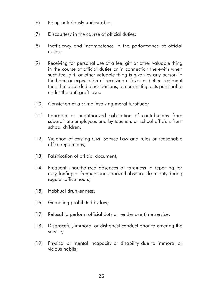- (6) Being notoriously undesirable;
- (7) Discourtesy in the course of official duties;
- (8) Inefficiency and incompetence in the performance of official duties;
- (9) Receiving for personal use of a fee, gift or other valuable thing in the course of official duties or in connection therewith when such fee, gift, or other valuable thing is given by any person in the hope or expectation of receiving a favor or better treatment than that accorded other persons, or committing acts punishable under the anti-graft laws;
- (10) Conviction of a crime involving moral turpitude;
- (11) Improper or unauthorized solicitation of contributions from subordinate employees and by teachers or school officials from school children;
- (12) Violation of existing Civil Service Law and rules or reasonable office regulations;
- (13) Falsification of official document;
- (14) Frequent unauthorized absences or tardiness in reporting for duty, loafing or frequent unauthorized absences from duty during regular office hours;
- (15) Habitual drunkenness;
- (16) Gambling prohibited by law;
- (17) Refusal to perform official duty or render overtime service;
- (18) Disgraceful, immoral or dishonest conduct prior to entering the service;
- (19) Physical or mental incapacity or disability due to immoral or vicious habits;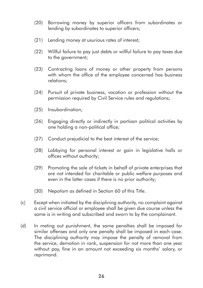- (20) Borrowing money by superior officers from subordinates or lending by subordinates to superior officers;
- (21) Lending money at usurious rates of interest;
- (22) Willful failure to pay just debts or willful failure to pay taxes due to the government;
- (23) Contracting loans of money or other property from persons with whom the office of the employee concerned has business relations;
- (24) Pursuit of private business, vocation or profession without the permission required by Civil Service rules and regulations;
- (25) Insubordination;
- (26) Engaging directly or indirectly in partisan political activities by one holding a non-political office;
- (27) Conduct prejudicial to the best interest of the service;
- (28) Lobbying for personal interest or gain in legislative halls or offices without authority;
- (29) Promoting the sale of tickets in behalf of private enterprises that are not intended for charitable or public welfare purposes and even in the latter cases if there is no prior authority;
- (30) Nepotism as defined in Section 60 of this Title.
- (c) Except when initiated by the disciplining authority, no complaint against a civil service official or employee shall be given due course unless the same is in writing and subscribed and sworn to by the complainant.
- (d) In meting out punishment, the same penalties shall be imposed for similar offenses and only one penalty shall be imposed in each case. The disciplining authority may impose the penalty of removal from the service, demotion in rank, suspension for not more than one year without pay, fine in an amount not exceeding six months' salary, or reprimand.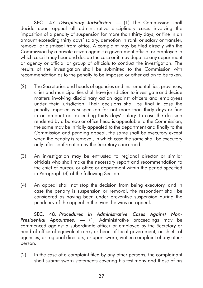SEC. 47. Disciplinary Jurisdiction. - (1) The Commission shall decide upon appeal all administrative disciplinary cases involving the imposition of a penalty of suspension for more than thirty days, or fine in an amount exceeding thirty days' salary, demotion in rank or salary or transfer, removal or dismissal from office. A complaint may be filed directly with the Commission by a private citizen against a government official or employee in which case it may hear and decide the case or it may deputize any department or agency or official or group of officials to conduct the investigation. The results of the investigation shall be submitted to the Commission with recommendation as to the penalty to be imposed or other action to be taken.

- (2) The Secretaries and heads of agencies and instrumentalities, provinces, cities and municipalities shall have jurisdiction to investigate and decide matters involving disciplinary action against officers and employees under their jurisdiction. Their decisions shall be final in case the penalty imposed is suspension for not more than thirty days or fine in an amount not exceeding thirty days' salary. In case the decision rendered by a bureau or office head is appealable to the Commission, the same may be initially appealed to the department and finally to the Commission and pending appeal, the same shall be executory except when the penalty is removal, in which case the same shall be executory only after confirmation by the Secretary concerned.
- (3) An investigation may be entrusted to regional director or similar officials who shall make the necessary report and recommendation to the chief of bureau or office or department within the period specified in Paragraph (4) of the following Section.
- (4) An appeal shall not stop the decision from being executory, and in case the penalty is suspension or removal, the respondent shall be considered as having been under preventive suspension during the pendency of the appeal in the event he wins an appeal.

SEC. 48. *Procedures in Administrative Cases Against Non-Presidential Appointees*. — (1) Administrative proceedings may be commenced against a subordinate officer or employee by the Secretary or head of office of equivalent rank, or head of local government, or chiefs of agencies, or regional directors, or upon sworn, written complaint of any other person.

(2) In the case of a complaint filed by any other persons, the complainant shall submit sworn statements covering his testimony and those of his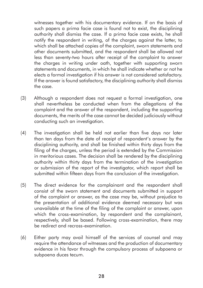witnesses together with his documentary evidence. If on the basis of such papers a prima facie case is found not to exist, the disciplining authority shall dismiss the case. If a prima facie case exists, he shall notify the respondent in writing, of the charges against the latter, to which shall be attached copies of the complaint, sworn statements and other documents submitted, and the respondent shall be allowed not less than seventy-two hours after receipt of the complaint to answer the charges in writing under oath, together with supporting sworn statements and documents, in which he shall indicate whether or not he elects a formal investigation if his answer is not considered satisfactory. If the answer is found satisfactory, the disciplining authority shall dismiss the case.

- (3) Although a respondent does not request a formal investigation, one shall nevertheless be conducted when from the allegations of the complaint and the answer of the respondent, including the supporting documents, the merits of the case cannot be decided judiciously without conducting such an investigation.
- (4) The investigation shall be held not earlier than five days nor later than ten days from the date of receipt of respondent's answer by the disciplining authority, and shall be finished within thirty days from the filing of the charges, unless the period is extended by the Commission in meritorious cases. The decision shall be rendered by the disciplining authority within thirty days from the termination of the investigation or submission of the report of the investigator, which report shall be submitted within fifteen days from the conclusion of the investigation.
- (5) The direct evidence for the complainant and the respondent shall consist of the sworn statement and documents submitted in support of the complaint or answer, as the case may be, without prejudice to the presentation of additional evidence deemed necessary but was unavailable at the time of the filing of the complaint or answer, upon which the cross-examination, by respondent and the complainant, respectively, shall be based. Following cross-examination, there may be redirect and recross-examination.
- (6) Either party may avail himself of the services of counsel and may require the attendance of witnesses and the production of documentary evidence in his favor through the compulsory process of subpoena or subpoena duces tecum.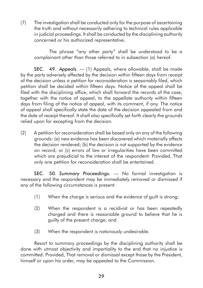(7) The investigation shall be conducted only for the purpose of ascertaining the truth and without necessarily adhering to technical rules applicable in judicial proceedings. It shall be conducted by the disciplining authority concerned or his authorized representative.

The phrase "any other party" shall be understood to be a complainant other than those referred to in subsection (a) hereof.

SEC. 49. Appeals.  $-$  (1) Appeals, where allowable, shall be made by the party adversely affected by the decision within fifteen days from receipt of the decision unless a petition for reconsideration is seasonably filed, which petition shall be decided within fifteen days. Notice of the appeal shall be filed with the disciplining office, which shall forward the records of the case, together with the notice of appeal, to the appellate authority within fifteen days from filing of the notice of appeal, with its comment, if any. The notice of appeal shall specifically state the date of the decision appealed from and the date of receipt thereof. It shall also specifically set forth clearly the grounds relied upon for excepting from the decision.

(2) A petition for reconsideration shall be based only on any of the following grounds: (a) new evidence has been discovered which materially affects the decision rendered; (b) the decision is not supported by the evidence on record; or (c) errors of law or irregularities have been committed which are prejudicial to the interest of the respondent: Provided, That only one petition for reconsideration shall be entertained.

SEC. 50. *Summary Proceedings.* — No formal investigation is necessary and the respondent may be immediately removed or dismissed if any of the following circumstances is present:

- (1) When the charge is serious and the evidence of guilt is strong;
- (2) When the respondent is a recidivist or has been repeatedly charged and there is reasonable ground to believe that he is guilty of the present charge; and
- (3) When the respondent is notoriously undesirable.

Resort to summary proceedings by the disciplining authority shall be done with utmost objectivity and impartiality to the end that no injustice is committed: Provided, That removal or dismissal except those by the President, himself or upon his order, may be appealed to the Commission.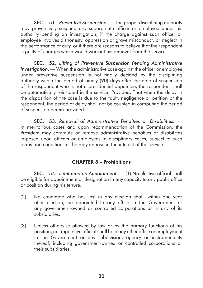SEC. 51. *Preventive Suspension.* — The proper disciplining authority may preventively suspend any subordinate officer or employee under his authority pending an investigation, if the charge against such officer or employee involves dishonesty, oppression or grave misconduct, or neglect in the performance of duty, or if there are reasons to believe that the respondent is guilty of charges which would warrant his removal from the service.

SEC. 52. *Lifting of Preventive Suspension Pending Administrative Investigation*, — When the administrative case against the officer or employee under preventive suspension is not finally decided by the disciplining authority within the period of ninety (90) days after the date of suspension of the respondent who is not a presidential appointee, the respondent shall be automatically reinstated in the service: Provided, That when the delay in the disposition of the case is due to the fault, negligence or petition of the respondent, the period of delay shall not be counted in computing the period of suspension herein provided.

SEC. 53. *Removal of Administrative Penalties or Disabilities.* — In meritorious cases and upon recommendation of the Commission, the President may commute or remove administrative penalties or disabilities imposed upon officers or employees in disciplinary cases, subject to such terms and conditions as he may impose in the interest of the service.

## CHAPTER 8 – Prohibitions

SEC. 54. *Limitation on Appointment.* - (1) No elective official shall be eligible for appointment or designation in any capacity to any public office or position during his tenure.

- (2) No candidate who has lost in any election shall, within one year after election, be appointed to any office in the Government or any government-owned or controlled corporations or in any of its subsidiaries.
- (3) Unless otherwise allowed by law or by the primary functions of his position, no appointive official shall hold any other office or employment in the Government or any subdivision, agency or instrumentality thereof, including government-owned or controlled corporations or their subsidiaries.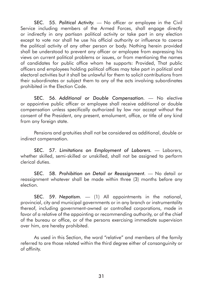SEC. 55. *Political Activity.* — No officer or employee in the Civil Service including members of the Armed Forces, shall engage directly or indirectly in any partisan political activity or take part in any election except to vote nor shall he use his official authority or influence to coerce the political activity of any other person or body. Nothing herein provided shall be understood to prevent any officer or employee from expressing his views on current political problems or issues, or from mentioning the names of candidates for public office whom he supports: Provided, That public officers and employees holding political offices may take part in political and electoral activities but it shall be unlawful for them to solicit contributions from their subordinates or subject them to any of the acts involving subordinates prohibited in the Election Code.

SEC. 56. *Additional or Double Compensation.* — No elective or appointive public officer or employee shall receive additional or double compensation unless specifically authorized by law nor accept without the consent of the President, any present, emolument, office, or title of any kind from any foreign state.

Pensions and gratuities shall not be considered as additional, double or indirect compensation.

SEC. 57. *Limitations on Employment of Laborers.* — Laborers, whether skilled, semi-skilled or unskilled, shall not be assigned to perform clerical duties.

SEC. 58. *Prohibition on Detail or Reassignment.* — No detail or reassignment whatever shall be made within three (3) months before any election.

SEC. 59. Nepotism. - (1) All appointments in the national, provincial, city and municipal governments or in any branch or instrumentality thereof, including government-owned or controlled corporations, made in favor of a relative of the appointing or recommending authority, or of the chief of the bureau or office, or of the persons exercising immediate supervision over him, are hereby prohibited.

As used in this Section, the word "relative" and members of the family referred to are those related within the third degree either of consanguinity or of affinity.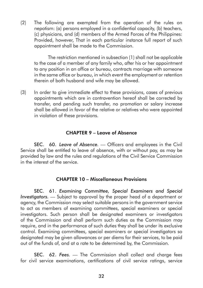(2) The following are exempted from the operation of the rules on nepotism: (a) persons employed in a confidential capacity, (b) teachers, (c) physicians, and (d) members of the Armed Forces of the Philippines: Provided, however, That in each particular instance full report of such appointment shall be made to the Commission.

The restriction mentioned in subsection (1) shall not be applicable to the case of a member of any family who, after his or her appointment to any position in an office or bureau, contracts marriage with someone in the same office or bureau, in which event the employment or retention therein of both husband and wife may be allowed.

(3) In order to give immediate effect to these provisions, cases of previous appointments which are in contravention hereof shall be corrected by transfer, and pending such transfer, no promotion or salary increase shall be allowed in favor of the relative or relatives who were appointed in violation of these provisions.

#### CHAPTER 9 – Leave of Absence

SEC. 60. Leave of Absence. — Officers and employees in the Civil Service shall be entitled to leave of absence, with or without pay, as may be provided by law and the rules and regulations of the Civil Service Commission in the interest of the service.

#### CHAPTER 10 – Miscellaneous Provisions

SEC. 61. *Examining Committee, Special Examiners and Special Investigators.* — Subject to approval by the proper head of a department or agency, the Commission may select suitable persons in the government service to act as members of examining committees, special examiners or special investigators. Such person shall be designated examiners or investigators of the Commission and shall perform such duties as the Commission may require, and in the performance of such duties they shall be under its exclusive control. Examining committees, special examiners or special investigators so designated may be given allowances or per diems for their services, to be paid out of the funds of, and at a rate to be determined by, the Commission.

SEC. 62. Fees. - The Commission shall collect and charge fees for civil service examinations, certifications of civil service ratings, service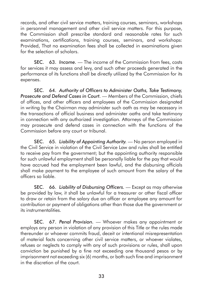records, and other civil service matters, training courses, seminars, workshops in personnel management and other civil service matters. For this purpose, the Commission shall prescribe standard and reasonable rates for such examinations, certifications, training courses, seminars, and workshops: Provided, That no examination fees shall be collected in examinations given for the selection of scholars.

**SEC.** 63. *Income.* — The income of the Commission from fees, costs for services it may assess and levy, and such other proceeds generated in the performance of its functions shall be directly utilized by the Commission for its expenses.

SEC. 64. *Authority of Officers to Administer Oaths, Take Testimony, Prosecute and Defend Cases in Court.* — Members of the Commission, chiefs of offices, and other officers and employees of the Commission designated in writing by the Chairman may administer such oath as may be necessary in the transactions of official business and administer oaths and take testimony in connection with any authorized investigation. Attorneys of the Commission may prosecute and defend cases in connection with the functions of the Commission before any court or tribunal.

SEC. 65. Liability of Appointing Authority. — No person employed in the Civil Service in violation of the Civil Service Law and rules shall be entitled to receive pay from the government; but the appointing authority responsible for such unlawful employment shall be personally liable for the pay that would have accrued had the employment been lawful, and the disbursing officials shall make payment to the employee of such amount from the salary of the officers so liable.

SEC. 66. *Liability of Disbursing Officers.* — Except as may otherwise be provided by law, it shall be unlawful for a treasurer or other fiscal officer to draw or retain from the salary due an officer or employee any amount for contribution or payment of obligations other than those due the government or its instrumentalities.

SEC. 67. *Penal Provision.* — Whoever makes any appointment or employs any person in violation of any provision of this Title or the rules made thereunder or whoever commits fraud, deceit or intentional misrepresentation of material facts concerning other civil service matters, or whoever violates, refuses or neglects to comply with any of such provisions or rules, shall upon conviction be punished by a fine not exceeding one thousand pesos or by imprisonment not exceeding six (6) months, or both such fine and imprisonment in the discretion of the court.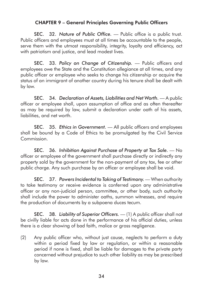## CHAPTER 9 – General Principles Governing Public Officers

SEC. 32. Nature of Public Office. — Public office is a public trust. Public officers and employees must at all times be accountable to the people, serve them with the utmost responsibility, integrity, loyalty and efficiency, act with patriotism and justice, and lead modest lives.

SEC. 33. *Policy on Change of Citizenship.* — Public officers and employees owe the State and the Constitution allegiance at all times, and any public officer or employee who seeks to change his citizenship or acquire the status of an immigrant of another country during his tenure shall be dealt with by law.

SEC. 34. Declaration of Assets, Liabilities and Net Worth. — A public officer or employee shall, upon assumption of office and as often thereafter as may be required by law, submit a declaration under oath of his assets, liabilities, and net worth.

SEC. 35. *Ethics in Government.* — All public officers and employees shall be bound by a Code of Ethics to be promulgated by the Civil Service Commission.

SEC. 36. *Inhibition Against Purchase of Property at Tax Sale.* - No officer or employee of the government shall purchase directly or indirectly any property sold by the government for the non-payment of any tax, fee or other public charge. Any such purchase by an officer or employee shall be void.

SEC. 37. Powers Incidental to Taking of Testimony. — When authority to take testimony or receive evidence is conferred upon any administrative officer or any non-judicial person, committee, or other body, such authority shall include the power to administer oaths, summon witnesses, and require the production of documents by a subpoena duces tecum.

SEC. 38. *Liability of Superior Officers.*  $-$  (1) A public officer shall not be civilly liable for acts done in the performance of his official duties, unless there is a clear showing of bad faith, malice or gross negligence.

(2) Any public officer who, without just cause, neglects to perform a duty within a period fixed by law or regulation, or within a reasonable period if none is fixed, shall be liable for damages to the private party concerned without prejudice to such other liability as may be prescribed by law.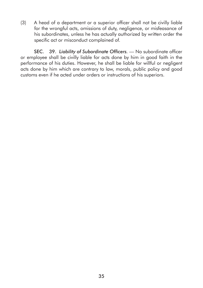(3) A head of a department or a superior officer shall not be civilly liable for the wrongful acts, omissions of duty, negligence, or misfeasance of his subordinates, unless he has actually authorized by written order the specific act or misconduct complained of.

SEC. 39. *Liability of Subordinate Officers.* — No subordinate officer or employee shall be civilly liable for acts done by him in good faith in the performance of his duties. However, he shall be liable for willful or negligent acts done by him which are contrary to law, morals, public policy and good customs even if he acted under orders or instructions of his superiors.